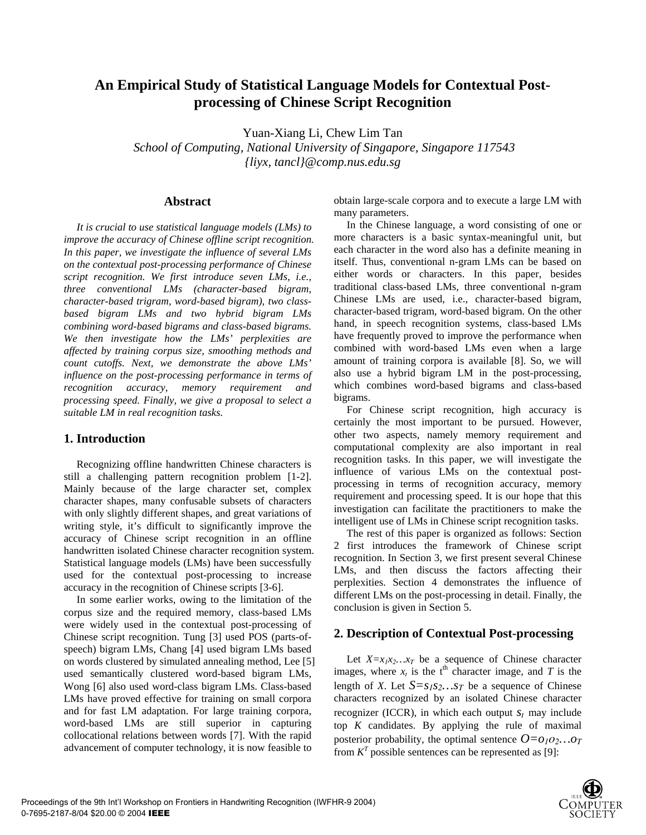# **An Empirical Study of Statistical Language Models for Contextual Postprocessing of Chinese Script Recognition**

Yuan-Xiang Li, Chew Lim Tan

 *School of Computing, National University of Singapore, Singapore 117543 {liyx, tancl}@comp.nus.edu.sg*

# **Abstract**

*It is crucial to use statistical language models (LMs) to improve the accuracy of Chinese offline script recognition. In this paper, we investigate the influence of several LMs on the contextual post-processing performance of Chinese script recognition. We first introduce seven LMs, i.e., three conventional LMs (character-based bigram, character-based trigram, word-based bigram), two classbased bigram LMs and two hybrid bigram LMs combining word-based bigrams and class-based bigrams. We then investigate how the LMs' perplexities are affected by training corpus size, smoothing methods and count cutoffs. Next, we demonstrate the above LMs' influence on the post-processing performance in terms of recognition accuracy, memory requirement and processing speed. Finally, we give a proposal to select a suitable LM in real recognition tasks.* 

# **1. Introduction**

Recognizing offline handwritten Chinese characters is still a challenging pattern recognition problem [1-2]. Mainly because of the large character set, complex character shapes, many confusable subsets of characters with only slightly different shapes, and great variations of writing style, it's difficult to significantly improve the accuracy of Chinese script recognition in an offline handwritten isolated Chinese character recognition system. Statistical language models (LMs) have been successfully used for the contextual post-processing to increase accuracy in the recognition of Chinese scripts [3-6].

In some earlier works, owing to the limitation of the corpus size and the required memory, class-based LMs were widely used in the contextual post-processing of Chinese script recognition. Tung [3] used POS (parts-ofspeech) bigram LMs, Chang [4] used bigram LMs based on words clustered by simulated annealing method, Lee [5] used semantically clustered word-based bigram LMs, Wong [6] also used word-class bigram LMs. Class-based LMs have proved effective for training on small corpora and for fast LM adaptation. For large training corpora, word-based LMs are still superior in capturing collocational relations between words [7]. With the rapid advancement of computer technology, it is now feasible to

obtain large-scale corpora and to execute a large LM with many parameters.

In the Chinese language, a word consisting of one or more characters is a basic syntax-meaningful unit, but each character in the word also has a definite meaning in itself. Thus, conventional n-gram LMs can be based on either words or characters. In this paper, besides traditional class-based LMs, three conventional n-gram Chinese LMs are used, i.e., character-based bigram, character-based trigram, word-based bigram. On the other hand, in speech recognition systems, class-based LMs have frequently proved to improve the performance when combined with word-based LMs even when a large amount of training corpora is available [8]. So, we will also use a hybrid bigram LM in the post-processing, which combines word-based bigrams and class-based bigrams.

For Chinese script recognition, high accuracy is certainly the most important to be pursued. However, other two aspects, namely memory requirement and computational complexity are also important in real recognition tasks. In this paper, we will investigate the influence of various LMs on the contextual postprocessing in terms of recognition accuracy, memory requirement and processing speed. It is our hope that this investigation can facilitate the practitioners to make the intelligent use of LMs in Chinese script recognition tasks.

The rest of this paper is organized as follows: Section 2 first introduces the framework of Chinese script recognition. In Section 3, we first present several Chinese LMs, and then discuss the factors affecting their perplexities. Section 4 demonstrates the influence of different LMs on the post-processing in detail. Finally, the conclusion is given in Section 5.

# **2. Description of Contextual Post-processing**

Let  $X=x_1x_2...x_T$  be a sequence of Chinese character images, where  $x_t$  is the t<sup>th</sup> character image, and *T* is the length of *X*. Let  $S = s_1 s_2 \dots s_T$  be a sequence of Chinese characters recognized by an isolated Chinese character recognizer (ICCR), in which each output  $s_t$  may include top *K* candidates. By applying the rule of maximal posterior probability, the optimal sentence  $O=O_1O_2 \dots O_T$ from  $K^T$  possible sentences can be represented as [9]:

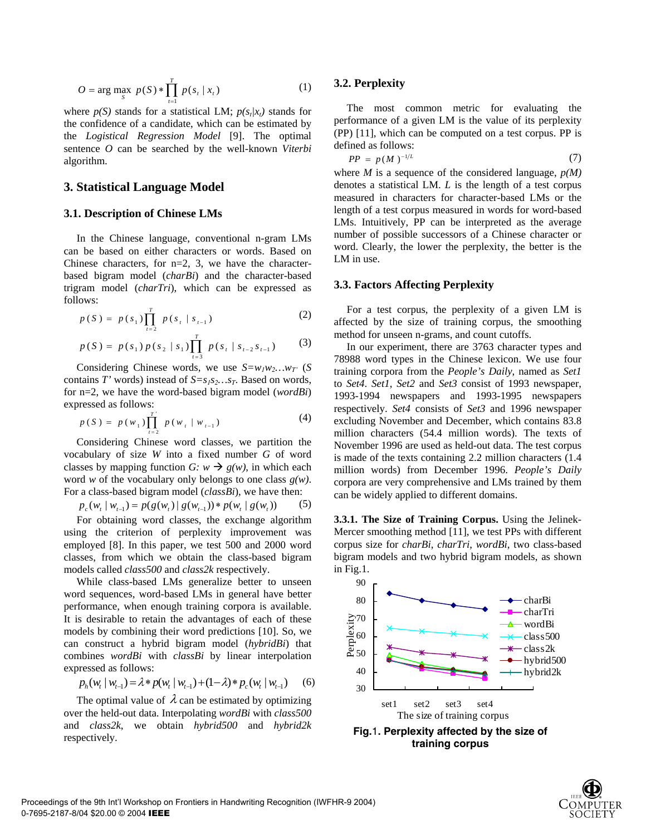$$
O = \arg \max_{S} \ p(S) * \prod_{t=1}^{T} p(s_t | x_t)
$$
 (1)

where  $p(S)$  stands for a statistical LM;  $p(s<sub>t</sub>/x<sub>t</sub>)$  stands for the confidence of a candidate, which can be estimated by the *Logistical Regression Model* [9]. The optimal sentence *O* can be searched by the well-known *Viterbi* algorithm.

# **3. Statistical Language Model**

#### **3.1. Description of Chinese LMs**

In the Chinese language, conventional n-gram LMs can be based on either characters or words. Based on Chinese characters, for  $n=2$ , 3, we have the characterbased bigram model (*charBi*) and the character-based trigram model (*charTri*), which can be expressed as follows:

$$
p(S) = p(s_1) \prod_{t=2}^{T} p(s_t | s_{t-1})
$$
 (2)

$$
p(S) = p(s_1) p(s_2 \mid s_1) \prod_{t=3}^{T} p(s_t \mid s_{t-2} s_{t-1}) \tag{3}
$$

Considering Chinese words, we use  $S=w_1w_2...w_T$  (*S* contains *T'* words) instead of *S=s1s2…sT*. Based on words, for n=2, we have the word-based bigram model (*wordBi*) expressed as follows:

$$
p(S) = p(w_1) \prod_{t=2}^{T'} p(w_t | w_{t-1})
$$
 (4)

Considering Chinese word classes, we partition the vocabulary of size *W* into a fixed number *G* of word classes by mapping function *G*:  $w \rightarrow g(w)$ , in which each word *w* of the vocabulary only belongs to one class *g(w)*. For a class-based bigram model (*classBi*), we have then:

$$
p_c(w_t | w_{t-1}) = p(g(w_t) | g(w_{t-1})) * p(w_t | g(w_t))
$$
 (5)

For obtaining word classes, the exchange algorithm using the criterion of perplexity improvement was employed [8]. In this paper, we test 500 and 2000 word classes, from which we obtain the class-based bigram models called *class500* and *class2k* respectively.

While class-based LMs generalize better to unseen word sequences, word-based LMs in general have better performance, when enough training corpora is available. It is desirable to retain the advantages of each of these models by combining their word predictions [10]. So, we can construct a hybrid bigram model (*hybridBi*) that combines *wordBi* with *classBi* by linear interpolation expressed as follows:

$$
p_h(w_t | w_{t-1}) = \lambda * p(w_t | w_{t-1}) + (1 - \lambda) * p_c(w_t | w_{t-1}) \quad (6)
$$

The optimal value of  $\lambda$  can be estimated by optimizing over the held-out data. Interpolating *wordBi* with *class500* and *class2k*, we obtain *hybrid500* and *hybrid2k* respectively.

#### **3.2. Perplexity**

The most common metric for evaluating the performance of a given LM is the value of its perplexity (PP) [11], which can be computed on a test corpus. PP is defined as follows:

$$
PP = p(M)^{-1/L} \tag{7}
$$

where *M* is a sequence of the considered language,  $p(M)$ denotes a statistical LM. *L* is the length of a test corpus measured in characters for character-based LMs or the length of a test corpus measured in words for word-based LMs. Intuitively, PP can be interpreted as the average number of possible successors of a Chinese character or word. Clearly, the lower the perplexity, the better is the LM in use.

#### **3.3. Factors Affecting Perplexity**

For a test corpus, the perplexity of a given LM is affected by the size of training corpus, the smoothing method for unseen n-grams, and count cutoffs.

In our experiment, there are 3763 character types and 78988 word types in the Chinese lexicon. We use four training corpora from the *People's Daily*, named as *Set1* to *Set4*. *Set1*, *Set2* and *Set3* consist of 1993 newspaper, 1993-1994 newspapers and 1993-1995 newspapers respectively. *Set4* consists of *Set3* and 1996 newspaper excluding November and December, which contains 83.8 million characters (54.4 million words). The texts of November 1996 are used as held-out data. The test corpus is made of the texts containing 2.2 million characters (1.4 million words) from December 1996. *People's Daily* corpora are very comprehensive and LMs trained by them can be widely applied to different domains.

**3.3.1. The Size of Training Corpus.** Using the Jelinek-Mercer smoothing method [11], we test PPs with different corpus size for *charBi*, *charTri*, *wordBi*, two class-based bigram models and two hybrid bigram models, as shown in Fig.1.



**Fig.**1**. Perplexity affected by the size of training corpus** 

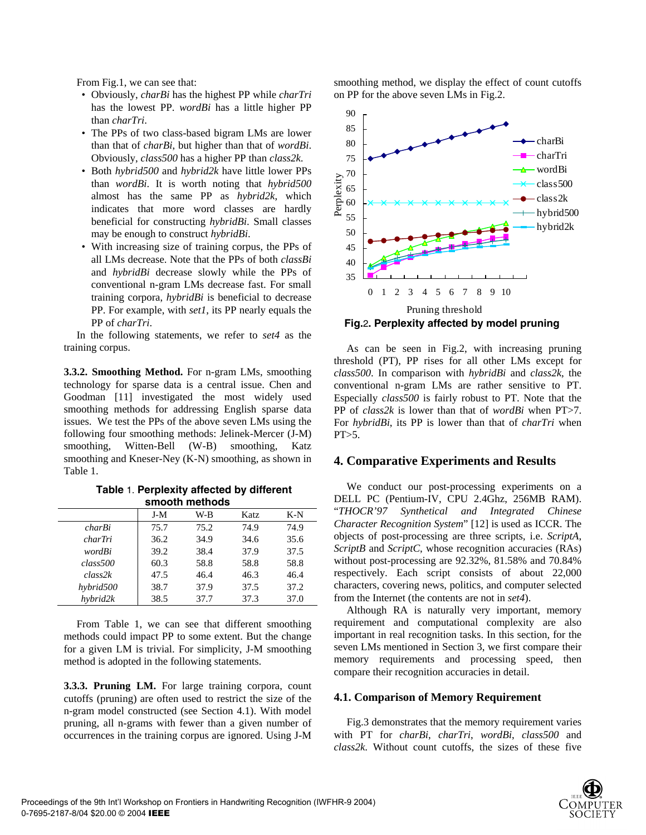From Fig.1, we can see that:

- Obviously, *charBi* has the highest PP while *charTri* has the lowest PP. *wordBi* has a little higher PP than *charTri*.
- The PPs of two class-based bigram LMs are lower than that of *charBi*, but higher than that of *wordBi*. Obviously, *class500* has a higher PP than *class2k*.
- Both *hybrid500* and *hybrid2k* have little lower PPs than *wordBi*. It is worth noting that *hybrid500* almost has the same PP as *hybrid2k*, which indicates that more word classes are hardly beneficial for constructing *hybridBi*. Small classes may be enough to construct *hybridBi*.
- With increasing size of training corpus, the PPs of all LMs decrease. Note that the PPs of both *classBi* and *hybridBi* decrease slowly while the PPs of conventional n-gram LMs decrease fast. For small training corpora, *hybridBi* is beneficial to decrease PP. For example, with *set1*, its PP nearly equals the PP of *charTri*.

In the following statements, we refer to *set4* as the training corpus.

**3.3.2. Smoothing Method.** For n-gram LMs, smoothing technology for sparse data is a central issue. Chen and Goodman [11] investigated the most widely used smoothing methods for addressing English sparse data issues. We test the PPs of the above seven LMs using the following four smoothing methods: Jelinek-Mercer (J-M) smoothing, Witten-Bell (W-B) smoothing, Katz smoothing and Kneser-Ney (K-N) smoothing, as shown in Table 1.

> **Table** 1. **Perplexity affected by different smooth methods**

|           | J-M  | W-B  | Katz | $K-N$ |  |  |  |  |  |
|-----------|------|------|------|-------|--|--|--|--|--|
| charBi    | 75.7 | 75.2 | 74.9 | 74.9  |  |  |  |  |  |
| charTri   | 36.2 | 34.9 | 34.6 | 35.6  |  |  |  |  |  |
| wordBi    | 39.2 | 38.4 | 37.9 | 37.5  |  |  |  |  |  |
| class 500 | 60.3 | 58.8 | 58.8 | 58.8  |  |  |  |  |  |
| class2k   | 47.5 | 46.4 | 46.3 | 46.4  |  |  |  |  |  |
| hybrid500 | 38.7 | 37.9 | 37.5 | 37.2  |  |  |  |  |  |
| hybrid2k  | 38.5 | 37.7 | 37.3 | 37.0  |  |  |  |  |  |

From Table 1, we can see that different smoothing methods could impact PP to some extent. But the change for a given LM is trivial. For simplicity, J-M smoothing method is adopted in the following statements.

**3.3.3. Pruning LM.** For large training corpora, count cutoffs (pruning) are often used to restrict the size of the n-gram model constructed (see Section 4.1). With model pruning, all n-grams with fewer than a given number of occurrences in the training corpus are ignored. Using J-M

smoothing method, we display the effect of count cutoffs on PP for the above seven LMs in Fig.2.



**Fig.**2**. Perplexity affected by model pruning** 

As can be seen in Fig.2, with increasing pruning threshold (PT), PP rises for all other LMs except for *class500*. In comparison with *hybridBi* and *class2k*, the conventional n-gram LMs are rather sensitive to PT. Especially *class500* is fairly robust to PT. Note that the PP of *class2k* is lower than that of *wordBi* when PT>7. For *hybridBi*, its PP is lower than that of *charTri* when  $PT>5$ .

# **4. Comparative Experiments and Results**

We conduct our post-processing experiments on a DELL PC (Pentium-IV, CPU 2.4Ghz, 256MB RAM). "*THOCR'97 Synthetical and Integrated Chinese Character Recognition System*" [12] is used as ICCR. The objects of post-processing are three scripts, i.e. *ScriptA*, *ScriptB* and *ScriptC*, whose recognition accuracies (RAs) without post-processing are 92.32%, 81.58% and 70.84% respectively. Each script consists of about 22,000 characters, covering news, politics, and computer selected from the Internet (the contents are not in *set4*).

Although RA is naturally very important, memory requirement and computational complexity are also important in real recognition tasks. In this section, for the seven LMs mentioned in Section 3, we first compare their memory requirements and processing speed, then compare their recognition accuracies in detail.

#### **4.1. Comparison of Memory Requirement**

Fig.3 demonstrates that the memory requirement varies with PT for *charBi*, *charTri*, *wordBi*, *class500* and *class2k*. Without count cutoffs, the sizes of these five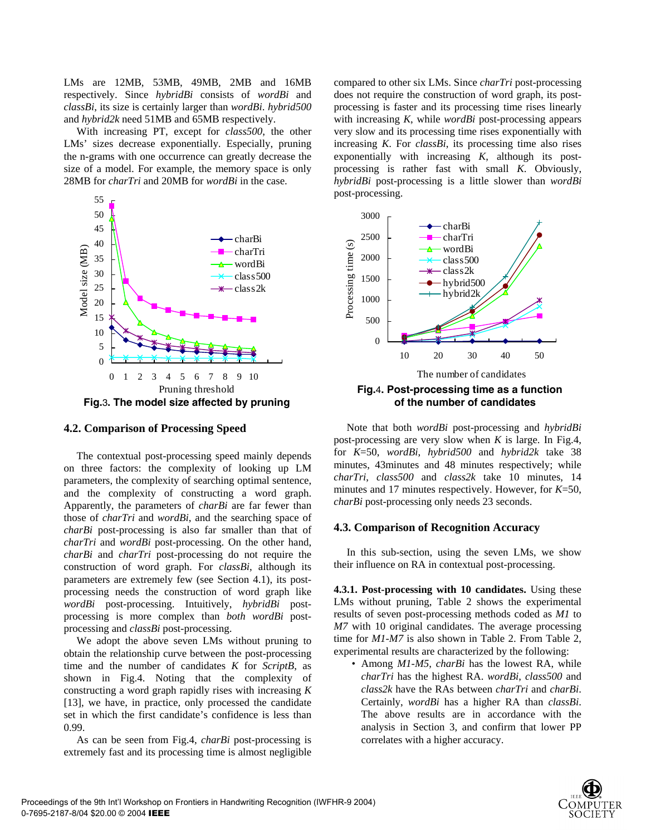LMs are 12MB, 53MB, 49MB, 2MB and 16MB respectively. Since *hybridBi* consists of *wordBi* and *classBi*, its size is certainly larger than *wordBi*. *hybrid500* and *hybrid2k* need 51MB and 65MB respectively.

With increasing PT, except for *class500*, the other LMs' sizes decrease exponentially. Especially, pruning the n-grams with one occurrence can greatly decrease the size of a model. For example, the memory space is only 28MB for *charTri* and 20MB for *wordBi* in the case.



# **4.2. Comparison of Processing Speed**

The contextual post-processing speed mainly depends on three factors: the complexity of looking up LM parameters, the complexity of searching optimal sentence, and the complexity of constructing a word graph. Apparently, the parameters of *charBi* are far fewer than those of *charTri* and *wordBi*, and the searching space of *charBi* post-processing is also far smaller than that of *charTri* and *wordBi* post-processing. On the other hand, *charBi* and *charTri* post-processing do not require the construction of word graph. For *classBi*, although its parameters are extremely few (see Section 4.1), its postprocessing needs the construction of word graph like *wordBi* post-processing. Intuitively, *hybridBi* postprocessing is more complex than *both wordBi* postprocessing and *classBi* post-processing.

We adopt the above seven LMs without pruning to obtain the relationship curve between the post-processing time and the number of candidates *K* for *ScriptB*, as shown in Fig.4. Noting that the complexity of constructing a word graph rapidly rises with increasing *K* [13], we have, in practice, only processed the candidate set in which the first candidate's confidence is less than 0.99.

As can be seen from Fig.4, *charBi* post-processing is extremely fast and its processing time is almost negligible compared to other six LMs. Since *charTri* post-processing does not require the construction of word graph, its postprocessing is faster and its processing time rises linearly with increasing *K*, while *wordBi* post-processing appears very slow and its processing time rises exponentially with increasing *K*. For *classBi*, its processing time also rises exponentially with increasing *K*, although its postprocessing is rather fast with small *K*. Obviously, *hybridBi* post-processing is a little slower than *wordBi* post-processing.

![](_page_3_Figure_9.jpeg)

**Fig.**4**. Post-processing time as a function Fig.**3**. The model size affected by pruning of the number of candidates** 

Note that both *wordBi* post-processing and *hybridBi* post-processing are very slow when *K* is large. In Fig.4, for *K*=50, *wordBi*, *hybrid500* and *hybrid2k* take 38 minutes, 43minutes and 48 minutes respectively; while *charTri*, *class500* and *class2k* take 10 minutes, 14 minutes and 17 minutes respectively. However, for *K*=50, *charBi* post-processing only needs 23 seconds.

#### **4.3. Comparison of Recognition Accuracy**

In this sub-section, using the seven LMs, we show their influence on RA in contextual post-processing.

**4.3.1. Post-processing with 10 candidates.** Using these LMs without pruning, Table 2 shows the experimental results of seven post-processing methods coded as *M1* to *M7* with 10 original candidates. The average processing time for *M1-M7* is also shown in Table 2. From Table 2, experimental results are characterized by the following:

• Among *M1*-*M5*, *charBi* has the lowest RA, while *charTri* has the highest RA. *wordBi*, *class500* and *class2k* have the RAs between *charTri* and *charBi*. Certainly, *wordBi* has a higher RA than *classBi*. The above results are in accordance with the analysis in Section 3, and confirm that lower PP correlates with a higher accuracy.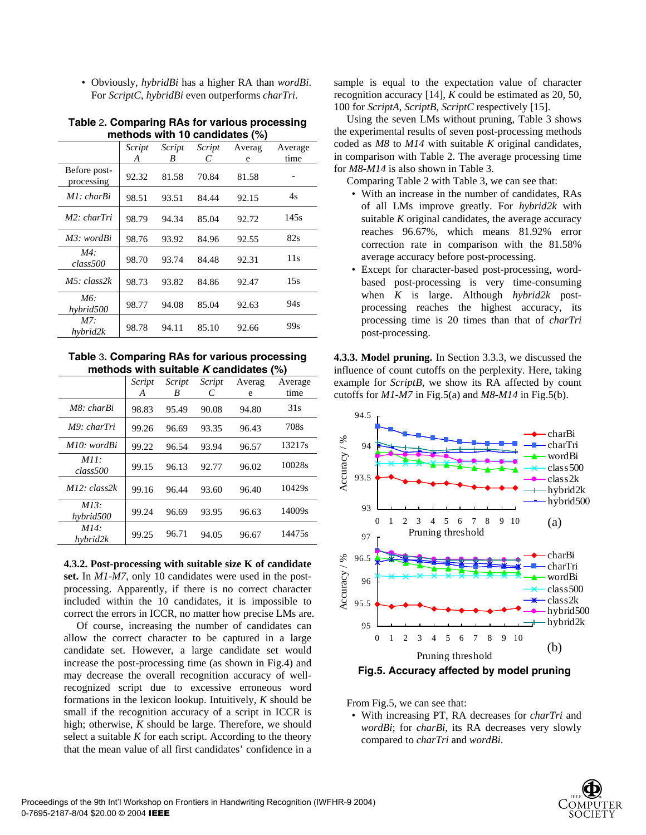• Obviously, *hybridBi* has a higher RA than *wordBi*. For *ScriptC*, *hybridBi* even outperforms *charTri*.

|                            | Script<br>A | Script<br>B | Script<br>C | Averag<br>e | Average<br>time |
|----------------------------|-------------|-------------|-------------|-------------|-----------------|
| Before post-<br>processing | 92.32       | 81.58       | 70.84       | 81.58       |                 |
| MI: charBi                 | 98.51       | 93.51       | 84.44       | 92.15       | 4s              |
| M2: charTri                | 98.79       | 94.34       | 85.04       | 92.72       | 145s            |
| M3: wordBi                 | 98.76       | 93.92       | 84.96       | 92.55       | 82s             |
| M4:<br>class500            | 98.70       | 93.74       | 84.48       | 92.31       | 11s             |
| M5: class 2k               | 98.73       | 93.82       | 84.86       | 92.47       | 15s             |
| M6:<br>hybrid500           | 98.77       | 94.08       | 85.04       | 92.63       | 94s             |
| M7:<br>hybrid2k            | 98.78       | 94.11       | 85.10       | 92.66       | 99 <sub>s</sub> |

#### **Table** 2**. Comparing RAs for various processing methods with 10 candidates (%)**

**Table** 3**. Comparing RAs for various processing methods with suitable** *K* **candidates (%)** 

|                   | Script | Script | Script | Averag | Average |  |  |  |
|-------------------|--------|--------|--------|--------|---------|--|--|--|
|                   | А      | B      | C      | e      | time    |  |  |  |
| M8: charBi        | 98.83  | 95.49  | 90.08  | 94.80  | 31s     |  |  |  |
| M9: charTri       | 99.26  | 96.69  | 93.35  | 96.43  | 708s    |  |  |  |
| M10: wordBi       | 99.22  | 96.54  | 93.94  | 96.57  | 13217s  |  |  |  |
| M11:<br>class 500 | 99.15  | 96.13  | 92.77  | 96.02  | 10028s  |  |  |  |
| M12: class2k      | 99.16  | 96.44  | 93.60  | 96.40  | 10429s  |  |  |  |
| M13:<br>hybrid500 | 99.24  | 96.69  | 93.95  | 96.63  | 14009s  |  |  |  |
| M14:<br>hybrid2k  | 99.25  | 96.71  | 94.05  | 96.67  | 14475s  |  |  |  |

**4.3.2. Post-processing with suitable size K of candidate set.** In *M1-M7*, only 10 candidates were used in the postprocessing. Apparently, if there is no correct character included within the 10 candidates, it is impossible to correct the errors in ICCR, no matter how precise LMs are.

Of course, increasing the number of candidates can allow the correct character to be captured in a large candidate set. However, a large candidate set would increase the post-processing time (as shown in Fig.4) and may decrease the overall recognition accuracy of wellrecognized script due to excessive erroneous word formations in the lexicon lookup. Intuitively, *K* should be small if the recognition accuracy of a script in ICCR is high; otherwise, *K* should be large. Therefore, we should select a suitable *K* for each script. According to the theory that the mean value of all first candidates' confidence in a sample is equal to the expectation value of character recognition accuracy [14], *K* could be estimated as 20, 50, 100 for *ScriptA*, *ScriptB*, *ScriptC* respectively [15].

Using the seven LMs without pruning, Table 3 shows the experimental results of seven post-processing methods coded as *M8* to *M14* with suitable *K* original candidates, in comparison with Table 2. The average processing time for *M8-M14* is also shown in Table 3.

Comparing Table 2 with Table 3, we can see that:

- With an increase in the number of candidates, RAs of all LMs improve greatly. For *hybrid2k* with suitable *K* original candidates, the average accuracy reaches 96.67%, which means 81.92% error correction rate in comparison with the 81.58% average accuracy before post-processing.
- Except for character-based post-processing, wordbased post-processing is very time-consuming when *K* is large. Although *hybrid2k* postprocessing reaches the highest accuracy, its processing time is 20 times than that of *charTri* post-processing.

**4.3.3. Model pruning.** In Section 3.3.3, we discussed the influence of count cutoffs on the perplexity. Here, taking example for *ScriptB*, we show its RA affected by count cutoffs for *M1-M7* in Fig.5(a) and *M8-M14* in Fig.5(b).

![](_page_4_Figure_13.jpeg)

From Fig.5, we can see that:

• With increasing PT, RA decreases for *charTri* and *wordBi*; for *charBi*, its RA decreases very slowly compared to *charTri* and *wordBi*.

![](_page_4_Picture_17.jpeg)